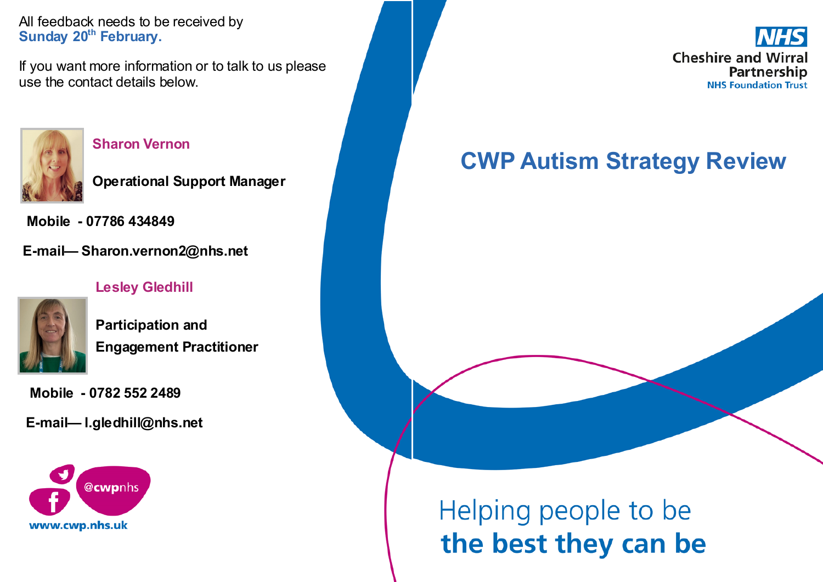All feedback needs to be received by **Sunday 20th February.**

If you want more information or to talk to us please use the contact details below.



#### **Sharon Vernon**

**Operational Support Manager**

**Mobile - 07786 434849**

**E-mail— Sharon.vernon2@nhs.net**

#### **Lesley Gledhill**



**Participation and Engagement Practitioner**

**Mobile - 0782 552 2489**

**E-mail— l.gledhill@nhs.net**



**Cheshire and Wirral** Partnership **NHS Foundation Trust** 

## **CWP Autism Strategy Review**

# Helping people to be the best they can be